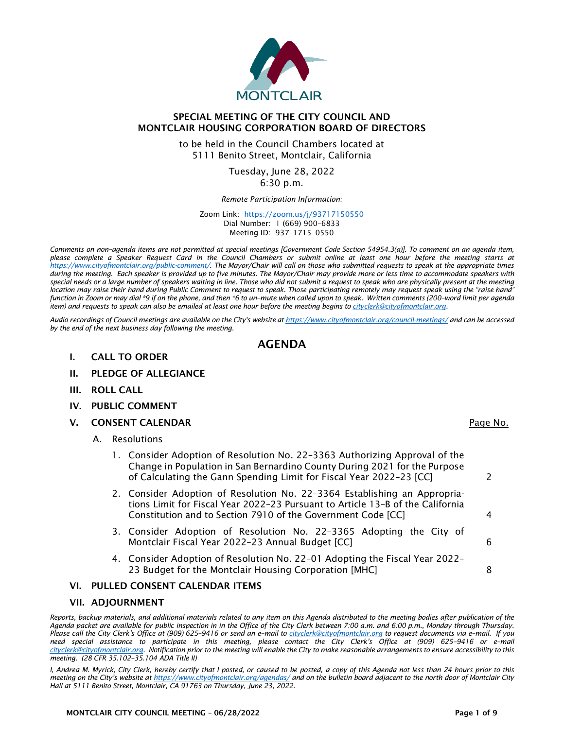

# SPECIAL MEETING OF THE CITY COUNCIL AND MONTCLAIR HOUSING CORPORATION BOARD OF DIRECTORS

to be held in the Council Chambers located at 5111 Benito Street, Montclair, California

> Tuesday, June 28, 2022 6:30 p.m.

*Remote Participation Information:*

Zoom Link: <https://zoom.us/j/93717150550> Dial Number: 1 (669) 900–6833 Meeting ID: 937–1715–0550

*Comments on non–agenda items are not permitted at special meetings [Government Code Section 54954.3(a)]. To comment on an agenda item, please complete a Speaker Request Card in the Council Chambers or submit online at least one hour before the meeting starts at [https://www.cityofmontclair.org/public-comment/.](https://www.cityofmontclair.org/public-comment/) The Mayor/Chair will call on those who submitted requests to speak at the appropriate times during the meeting. Each speaker is provided up to five minutes. The Mayor/Chair may provide more or less time to accommodate speakers with special needs or a large number of speakers waiting in line. Those who did not submit a request to speak who are physically present at the meeting*  location may raise their hand during Public Comment to request to speak. Those participating remotely may request speak using the "raise hand" *function in Zoom or may dial \*9 if on the phone, and then \*6 to un–mute when called upon to speak. Written comments (200–word limit per agenda item) and requests to speak can also be emailed at least one hour before the meeting begins to [cityclerk@cityofmontclair.org.](mailto:cityclerk@cityofmontclair.org)*

*Audio recordings of Council meetings are available on the City's website a[t https://www.cityofmontclair.org/council-meetings/](https://www.cityofmontclair.org/council-meetings/) and can be accessed by the end of the next business day following the meeting.*

# AGENDA

- I. CALL TO ORDER
- II. PLEDGE OF ALLEGIANCE
- III. ROLL CALL
- IV. PUBLIC COMMENT
- V. CONSENT CALENDAR **Page No.** 2008 **Page No.** 2008 **Page No.** 2008 **Page No.** 2008
	- A. Resolutions
		- 1. Consider Adoption of Resolution No. 22–3363 Authorizing Approval of the Change in Population in San Bernardino County During 2021 for the Purpose of Calculating the Gann Spending Limit for Fiscal Year 2022–23 [CC] 2
		- 2. Consider Adoption of Resolution No. 22–3364 Establishing an Appropriations Limit for Fiscal Year 2022–23 Pursuant to Article 13–B of the California Constitution and to Section 7910 of the Government Code [CC] 4
		- 3. Consider Adoption of Resolution No. 22–3365 Adopting the City of Montclair Fiscal Year 2022–23 Annual Budget [CC] 6
		- 4. Consider Adoption of Resolution No. 22–01 Adopting the Fiscal Year 2022– 23 Budget for the Montclair Housing Corporation [MHC] 8

## VI. PULLED CONSENT CALENDAR ITEMS

### VII. ADJOURNMENT

*Reports, backup materials, and additional materials related to any item on this Agenda distributed to the meeting bodies after publication of the Agenda packet are available for public inspection in in the Office of the City Clerk between 7:00 a.m. and 6:00 p.m., Monday through Thursday. Please call the City Clerk's Office at (909) 625–9416 or send an e–mail to [cityclerk@cityofmontclair.org](mailto:cityclerk@cityofmontclair.org) to request documents via e–mail. If you need special assistance to participate in this meeting, please contact the City Clerk's Office at (909) 625–9416 or e–mail [cityclerk@cityofmontclair.org.](mailto:cityclerk@cityofmontclair.org) Notification prior to the meeting will enable the City to make reasonable arrangements to ensure accessibility to this meeting. (28 CFR 35.102–35.104 ADA Title II)*

*I, Andrea M. Myrick, City Clerk, hereby certify that I posted, or caused to be posted, a copy of this Agenda not less than 24 hours prior to this meeting on the City's website at <https://www.cityofmontclair.org/agendas/> and on the bulletin board adjacent to the north door of Montclair City Hall at 5111 Benito Street, Montclair, CA 91763 on Thursday, June 23, 2022.*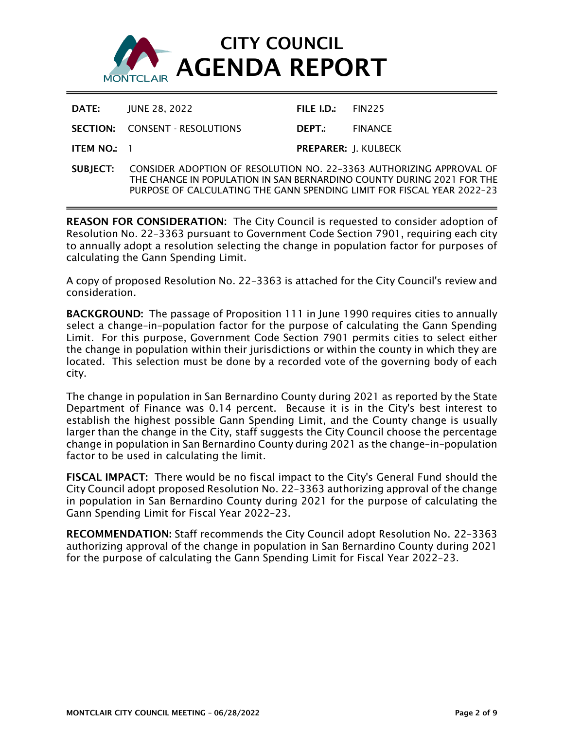

|             | <b>DATE: IUNE 28, 2022</b>            | FILE I.D.: $FIN225$         |  |
|-------------|---------------------------------------|-----------------------------|--|
|             | <b>SECTION: CONSENT - RESOLUTIONS</b> | <b>DEPT</b> FINANCE         |  |
| ITEM NO.: 1 |                                       | <b>PREPARER: I. KULBECK</b> |  |

SUBJECT: CONSIDER ADOPTION OF RESOLUTION NO. 22–3363 AUTHORIZING APPROVAL OF THE CHANGE IN POPULATION IN SAN BERNARDINO COUNTY DURING 2021 FOR THE PURPOSE OF CALCULATING THE GANN SPENDING LIMIT FOR FISCAL YEAR 2022–23

REASON FOR CONSIDERATION: The City Council is requested to consider adoption of Resolution No. 22–3363 pursuant to Government Code Section 7901, requiring each city to annually adopt a resolution selecting the change in population factor for purposes of calculating the Gann Spending Limit.

A copy of proposed Resolution No. 22–3363 is attached for the City Council's review and consideration.

BACKGROUND: The passage of Proposition 111 in June 1990 requires cities to annually select a change–in–population factor for the purpose of calculating the Gann Spending Limit. For this purpose, Government Code Section 7901 permits cities to select either the change in population within their jurisdictions or within the county in which they are located. This selection must be done by a recorded vote of the governing body of each city.

The change in population in San Bernardino County during 2021 as reported by the State Department of Finance was 0.14 percent. Because it is in the City's best interest to establish the highest possible Gann Spending Limit, and the County change is usually larger than the change in the City, staff suggests the City Council choose the percentage change in population in San Bernardino County during 2021 as the change–in–population factor to be used in calculating the limit.

FISCAL IMPACT: There would be no fiscal impact to the City's General Fund should the City Council adopt proposed Resolution No. 22–3363 authorizing approval of the change in population in San Bernardino County during 2021 for the purpose of calculating the Gann Spending Limit for Fiscal Year 2022–23.

RECOMMENDATION: Staff recommends the City Council adopt Resolution No. 22–3363 authorizing approval of the change in population in San Bernardino County during 2021 for the purpose of calculating the Gann Spending Limit for Fiscal Year 2022–23.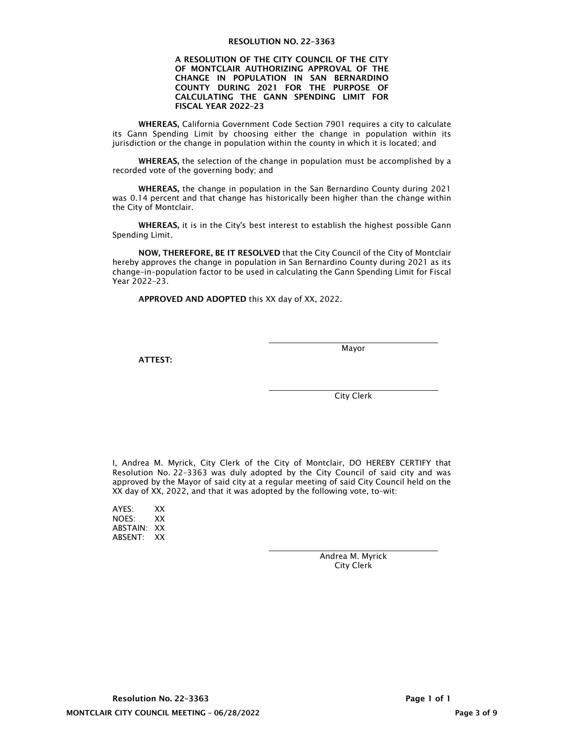#### RESOLUTION NO. 22–3363

#### A RESOLUTION OF THE CITY COUNCIL OF THE CITY OF MONTCLAIR AUTHORIZING APPROVAL OF THE CHANGE IN POPULATION IN SAN BERNARDINO COUNTY DURING 2021 FOR THE PURPOSE OF CALCULATING THE GANN SPENDING LIMIT FOR FISCAL YEAR 2022–23

WHEREAS, California Government Code Section 7901 requires a city to calculate its Gann Spending Limit by choosing either the change in population within its jurisdiction or the change in population within the county in which it is located; and

WHEREAS, the selection of the change in population must be accomplished by a recorded vote of the governing body; and

WHEREAS, the change in population in the San Bernardino County during 2021 was 0.14 percent and that change has historically been higher than the change within the City of Montclair.

WHEREAS, it is in the City's best interest to establish the highest possible Gann Spending Limit.

NOW, THEREFORE, BE IT RESOLVED that the City Council of the City of Montclair hereby approves the change in population in San Bernardino County during 2021 as its change–in–population factor to be used in calculating the Gann Spending Limit for Fiscal Year 2022–23.

APPROVED AND ADOPTED this XX day of XX, 2022.

ATTEST:

Mayor

City Clerk

I, Andrea M. Myrick, City Clerk of the City of Montclair, DO HEREBY CERTIFY that Resolution No. 22–3363 was duly adopted by the City Council of said city and was approved by the Mayor of said city at a regular meeting of said City Council held on the XX day of XX, 2022, and that it was adopted by the following vote, to–wit:

AYES: XX NOES: XX ABSTAIN: XX ABSENT: XX

> Andrea M. Myrick City Clerk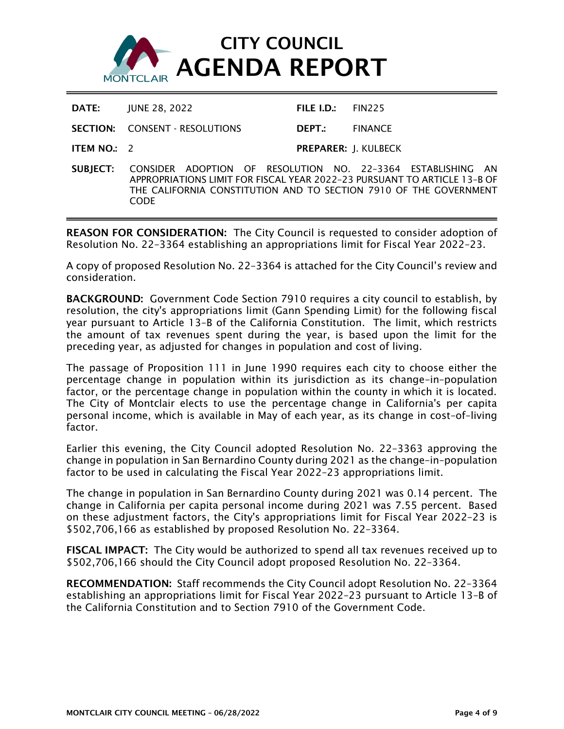

| DATE:                | JUNE 28, 2022 |                                       |                                                     | FILE I.D.: $FIN225$         |
|----------------------|---------------|---------------------------------------|-----------------------------------------------------|-----------------------------|
|                      |               | <b>SECTION: CONSENT - RESOLUTIONS</b> | DEPT.:                                              | <b>FINANCE</b>              |
| <b>ITEM NO.:</b> $2$ |               |                                       |                                                     | <b>PREPARER: J. KULBECK</b> |
|                      |               |                                       | CHRIECT: CONCIDER ADORTION OF RESOLUTION NO 22.2264 |                             |

SUBJECT: CONSIDER ADOPTION OF RESOLUTION NO. 22–3364 ESTABLISHING AN APPROPRIATIONS LIMIT FOR FISCAL YEAR 2022–23 PURSUANT TO ARTICLE 13–B OF THE CALIFORNIA CONSTITUTION AND TO SECTION 7910 OF THE GOVERNMENT CODE

REASON FOR CONSIDERATION: The City Council is requested to consider adoption of Resolution No. 22–3364 establishing an appropriations limit for Fiscal Year 2022–23.

A copy of proposed Resolution No. 22–3364 is attached for the City Council's review and consideration.

BACKGROUND: Government Code Section 7910 requires a city council to establish, by resolution, the city's appropriations limit (Gann Spending Limit) for the following fiscal year pursuant to Article 13–B of the California Constitution. The limit, which restricts the amount of tax revenues spent during the year, is based upon the limit for the preceding year, as adjusted for changes in population and cost of living.

The passage of Proposition 111 in June 1990 requires each city to choose either the percentage change in population within its jurisdiction as its change–in–population factor, or the percentage change in population within the county in which it is located. The City of Montclair elects to use the percentage change in California's per capita personal income, which is available in May of each year, as its change in cost–of–living factor.

Earlier this evening, the City Council adopted Resolution No. 22–3363 approving the change in population in San Bernardino County during 2021 as the change–in–population factor to be used in calculating the Fiscal Year 2022–23 appropriations limit.

The change in population in San Bernardino County during 2021 was 0.14 percent. The change in California per capita personal income during 2021 was 7.55 percent. Based on these adjustment factors, the City's appropriations limit for Fiscal Year 2022–23 is \$502,706,166 as established by proposed Resolution No. 22–3364.

FISCAL IMPACT: The City would be authorized to spend all tax revenues received up to \$502,706,166 should the City Council adopt proposed Resolution No. 22–3364.

RECOMMENDATION: Staff recommends the City Council adopt Resolution No. 22–3364 establishing an appropriations limit for Fiscal Year 2022–23 pursuant to Article 13–B of the California Constitution and to Section 7910 of the Government Code.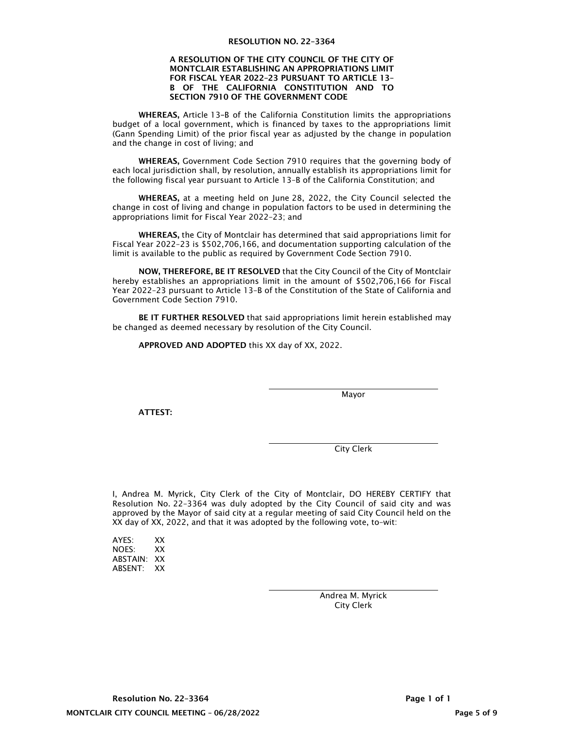#### RESOLUTION NO. 22–3364

#### A RESOLUTION OF THE CITY COUNCIL OF THE CITY OF MONTCLAIR ESTABLISHING AN APPROPRIATIONS LIMIT FOR FISCAL YEAR 2022–23 PURSUANT TO ARTICLE 13– B OF THE CALIFORNIA CONSTITUTION AND TO SECTION 7910 OF THE GOVERNMENT CODE

WHEREAS, Article 13–B of the California Constitution limits the appropriations budget of a local government, which is financed by taxes to the appropriations limit (Gann Spending Limit) of the prior fiscal year as adjusted by the change in population and the change in cost of living; and

WHEREAS, Government Code Section 7910 requires that the governing body of each local jurisdiction shall, by resolution, annually establish its appropriations limit for the following fiscal year pursuant to Article 13–B of the California Constitution; and

WHEREAS, at a meeting held on June 28, 2022, the City Council selected the change in cost of living and change in population factors to be used in determining the appropriations limit for Fiscal Year 2022–23; and

WHEREAS, the City of Montclair has determined that said appropriations limit for Fiscal Year 2022–23 is \$502,706,166, and documentation supporting calculation of the limit is available to the public as required by Government Code Section 7910.

NOW, THEREFORE, BE IT RESOLVED that the City Council of the City of Montclair hereby establishes an appropriations limit in the amount of \$502,706,166 for Fiscal Year 2022–23 pursuant to Article 13–B of the Constitution of the State of California and Government Code Section 7910.

BE IT FURTHER RESOLVED that said appropriations limit herein established may be changed as deemed necessary by resolution of the City Council.

APPROVED AND ADOPTED this XX day of XX, 2022.

Mayor

ATTEST:

City Clerk

I, Andrea M. Myrick, City Clerk of the City of Montclair, DO HEREBY CERTIFY that Resolution No. 22–3364 was duly adopted by the City Council of said city and was approved by the Mayor of said city at a regular meeting of said City Council held on the XX day of XX, 2022, and that it was adopted by the following vote, to–wit:

| AYES:    | xх |
|----------|----|
| NOFS:    | xх |
| ABSTAIN: | xх |
| ABSENT:  | xх |

 Andrea M. Myrick City Clerk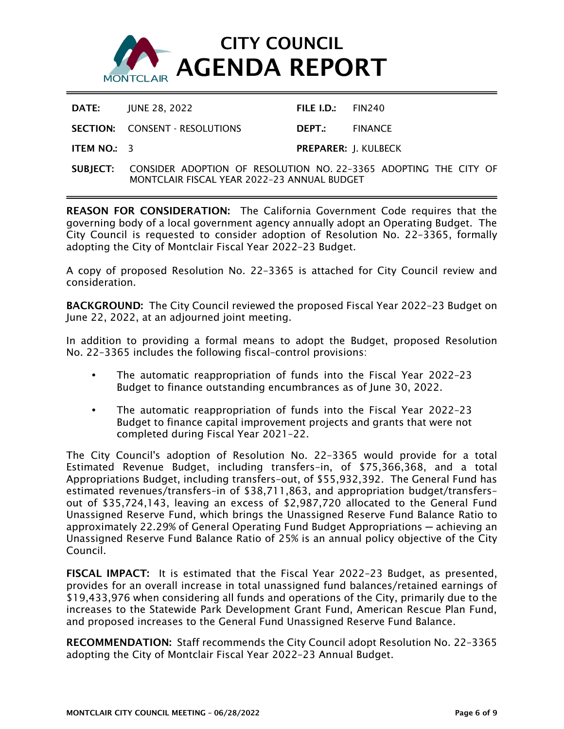

| DATE:                           | IUNE 28. 2022                         | FILE I.D.: $FIN240$         |  |
|---------------------------------|---------------------------------------|-----------------------------|--|
|                                 | <b>SECTION: CONSENT - RESOLUTIONS</b> | <b>DEPT</b> : FINANCE       |  |
| <b>ITEM NO.:</b> $\overline{3}$ |                                       | <b>PREPARER: I. KULBECK</b> |  |

SUBJECT: CONSIDER ADOPTION OF RESOLUTION NO. 22–3365 ADOPTING THE CITY OF MONTCLAIR FISCAL YEAR 2022–23 ANNUAL BUDGET

REASON FOR CONSIDERATION: The California Government Code requires that the governing body of a local government agency annually adopt an Operating Budget. The City Council is requested to consider adoption of Resolution No. 22–3365, formally adopting the City of Montclair Fiscal Year 2022–23 Budget.

A copy of proposed Resolution No. 22–3365 is attached for City Council review and consideration.

BACKGROUND: The City Council reviewed the proposed Fiscal Year 2022–23 Budget on June 22, 2022, at an adjourned joint meeting.

In addition to providing a formal means to adopt the Budget, proposed Resolution No. 22–3365 includes the following fiscal–control provisions:

- The automatic reappropriation of funds into the Fiscal Year 2022–23 Budget to finance outstanding encumbrances as of June 30, 2022.
- The automatic reappropriation of funds into the Fiscal Year 2022–23 Budget to finance capital improvement projects and grants that were not completed during Fiscal Year 2021–22.

The City Council's adoption of Resolution No. 22–3365 would provide for a total Estimated Revenue Budget, including transfers–in, of \$75,366,368, and a total Appropriations Budget, including transfers–out, of \$55,932,392. The General Fund has estimated revenues/transfers–in of \$38,711,863, and appropriation budget/transfers– out of \$35,724,143, leaving an excess of \$2,987,720 allocated to the General Fund Unassigned Reserve Fund, which brings the Unassigned Reserve Fund Balance Ratio to approximately 22.29% of General Operating Fund Budget Appropriations ─ achieving an Unassigned Reserve Fund Balance Ratio of 25% is an annual policy objective of the City Council.

FISCAL IMPACT: It is estimated that the Fiscal Year 2022–23 Budget, as presented, provides for an overall increase in total unassigned fund balances/retained earnings of \$19,433,976 when considering all funds and operations of the City, primarily due to the increases to the Statewide Park Development Grant Fund, American Rescue Plan Fund, and proposed increases to the General Fund Unassigned Reserve Fund Balance.

RECOMMENDATION: Staff recommends the City Council adopt Resolution No. 22–3365 adopting the City of Montclair Fiscal Year 2022–23 Annual Budget.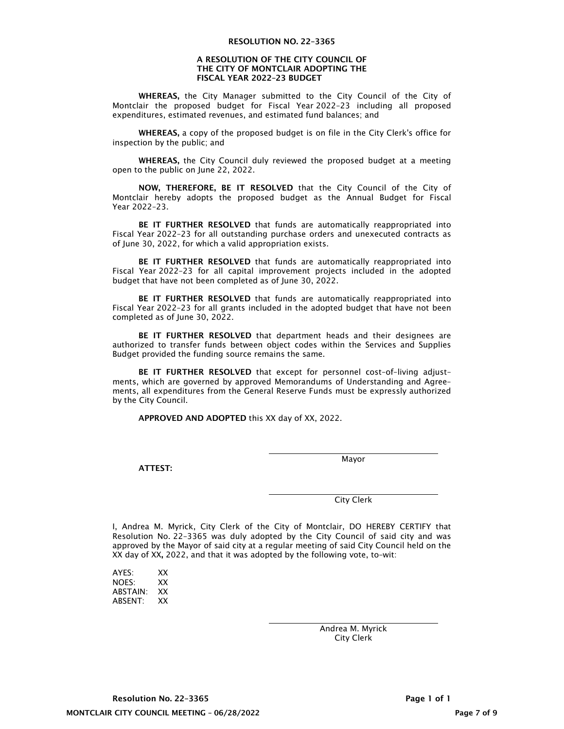#### A RESOLUTION OF THE CITY COUNCIL OF THE CITY OF MONTCLAIR ADOPTING THE FISCAL YEAR 2022–23 BUDGET

WHEREAS, the City Manager submitted to the City Council of the City of Montclair the proposed budget for Fiscal Year 2022–23 including all proposed expenditures, estimated revenues, and estimated fund balances; and

WHEREAS, a copy of the proposed budget is on file in the City Clerk's office for inspection by the public; and

WHEREAS, the City Council duly reviewed the proposed budget at a meeting open to the public on June 22, 2022.

NOW, THEREFORE, BE IT RESOLVED that the City Council of the City of Montclair hereby adopts the proposed budget as the Annual Budget for Fiscal Year 2022–23.

BE IT FURTHER RESOLVED that funds are automatically reappropriated into Fiscal Year 2022–23 for all outstanding purchase orders and unexecuted contracts as of June 30, 2022, for which a valid appropriation exists.

BE IT FURTHER RESOLVED that funds are automatically reappropriated into Fiscal Year 2022–23 for all capital improvement projects included in the adopted budget that have not been completed as of June 30, 2022.

BE IT FURTHER RESOLVED that funds are automatically reappropriated into Fiscal Year 2022–23 for all grants included in the adopted budget that have not been completed as of June 30, 2022.

BE IT FURTHER RESOLVED that department heads and their designees are authorized to transfer funds between object codes within the Services and Supplies Budget provided the funding source remains the same.

BE IT FURTHER RESOLVED that except for personnel cost–of–living adjust– ments, which are governed by approved Memorandums of Understanding and Agree– ments, all expenditures from the General Reserve Funds must be expressly authorized by the City Council.

APPROVED AND ADOPTED this XX day of XX, 2022.

ATTEST:

Mayor

City Clerk

I, Andrea M. Myrick, City Clerk of the City of Montclair, DO HEREBY CERTIFY that Resolution No. 22–3365 was duly adopted by the City Council of said city and was approved by the Mayor of said city at a regular meeting of said City Council held on the XX day of XX, 2022, and that it was adopted by the following vote, to–wit:

| AYES:    | xх |
|----------|----|
| NOES:    | xх |
| ABSTAIN: | xх |
| ABSENT:  | xх |

 Andrea M. Myrick City Clerk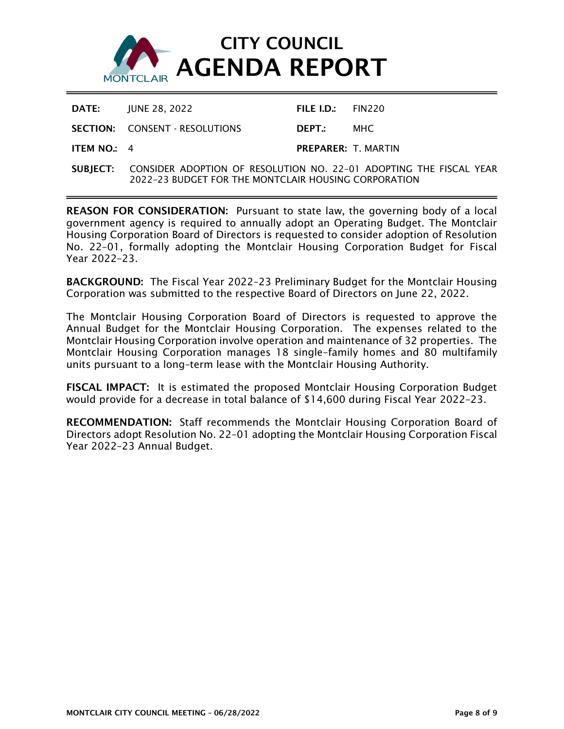

|                      | <b>DATE: IUNE 28, 2022</b>            | FILE I.D.: $FIN220$        |  |
|----------------------|---------------------------------------|----------------------------|--|
|                      | <b>SECTION: CONSENT - RESOLUTIONS</b> | DEPT. MHC                  |  |
| <b>ITEM NO.:</b> $4$ |                                       | <b>PREPARER: T. MARTIN</b> |  |
|                      |                                       |                            |  |

SUBJECT: CONSIDER ADOPTION OF RESOLUTION NO. 22–01 ADOPTING THE FISCAL YEAR 2022–23 BUDGET FOR THE MONTCLAIR HOUSING CORPORATION

REASON FOR CONSIDERATION: Pursuant to state law, the governing body of a local government agency is required to annually adopt an Operating Budget. The Montclair Housing Corporation Board of Directors is requested to consider adoption of Resolution No. 22–01, formally adopting the Montclair Housing Corporation Budget for Fiscal Year 2022–23.

BACKGROUND: The Fiscal Year 2022–23 Preliminary Budget for the Montclair Housing Corporation was submitted to the respective Board of Directors on June 22, 2022.

The Montclair Housing Corporation Board of Directors is requested to approve the Annual Budget for the Montclair Housing Corporation. The expenses related to the Montclair Housing Corporation involve operation and maintenance of 32 properties. The Montclair Housing Corporation manages 18 single–family homes and 80 multifamily units pursuant to a long–term lease with the Montclair Housing Authority.

FISCAL IMPACT: It is estimated the proposed Montclair Housing Corporation Budget would provide for a decrease in total balance of \$14,600 during Fiscal Year 2022–23.

RECOMMENDATION: Staff recommends the Montclair Housing Corporation Board of Directors adopt Resolution No. 22–01 adopting the Montclair Housing Corporation Fiscal Year 2022–23 Annual Budget.